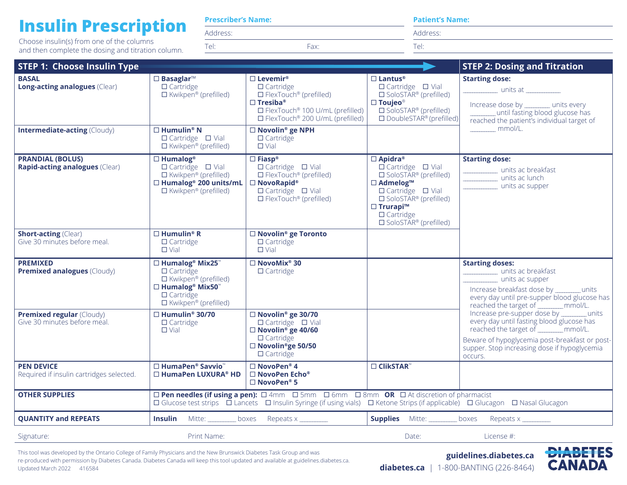## **Insulin Prescription**

Choose insulin(s) from one of the columns and then complete the dosing and titration column.

| <b>Prescriber's Name:</b> |  |
|---------------------------|--|
|                           |  |

Address:

Tel: Fax:

|  | <b>Patient's Name:</b> |
|--|------------------------|

Address:

Tel:

| <b>STEP 1: Choose Insulin Type</b>                                                                                                                                                                                                                  |                                                                                                                                                                           |                                                                                                                                                                                                                                                                                   |                                                                                                                                                                                                                                                                                   | <b>STEP 2: Dosing and Titration</b>                                                                                                                                                                                                            |
|-----------------------------------------------------------------------------------------------------------------------------------------------------------------------------------------------------------------------------------------------------|---------------------------------------------------------------------------------------------------------------------------------------------------------------------------|-----------------------------------------------------------------------------------------------------------------------------------------------------------------------------------------------------------------------------------------------------------------------------------|-----------------------------------------------------------------------------------------------------------------------------------------------------------------------------------------------------------------------------------------------------------------------------------|------------------------------------------------------------------------------------------------------------------------------------------------------------------------------------------------------------------------------------------------|
| <b>BASAL</b><br><b>Long-acting analogues (Clear)</b><br><b>Intermediate-acting (Cloudy)</b>                                                                                                                                                         | $\square$ Basaglar <sup>™</sup><br>$\Box$ Cartridge<br>$\Box$ Kwikpen® (prefilled)<br>$\square$ Humulin® N<br>$\Box$ Cartridge $\Box$ Vial<br>$\Box$ Kwikpen® (prefilled) | $\Box$ Levemir®<br>$\Box$ Cartridge<br>$\Box$ FlexTouch <sup>®</sup> (prefilled)<br>$\square$ Tresiba®<br>$\Box$ FlexTouch <sup>®</sup> 100 U/mL (prefilled)<br>□ FlexTouch <sup>®</sup> 200 U/mL (prefilled)<br>□ Novolin <sup>®</sup> ge NPH<br>$\Box$ Cartridge<br>$\Box$ Vial | $\Box$ Lantus®<br>$\Box$ Cartridge $\Box$ Vial<br>$\square$ SoloSTAR® (prefilled)<br>$\square$ Toujeo®<br>$\square$ SoloSTAR® (prefilled)<br>$\square$ DoubleSTAR <sup>®</sup> (prefilled)                                                                                        | <b>Starting dose:</b><br><u>______________</u> units at _____________<br>Increase dose by _______ units every<br>until fasting blood glucose has<br>reached the patient's individual target of<br>mmol/L.                                      |
| <b>PRANDIAL (BOLUS)</b><br>Rapid-acting analogues (Clear)                                                                                                                                                                                           | $\Box$ Humalog®<br>$\Box$ Cartridge $\Box$ Vial<br>$\Box$ Kwikpen® (prefilled)<br>□ Humalog <sup>®</sup> 200 units/mL<br>$\Box$ Kwikpen® (prefilled)                      | $\square$ Fiasp®<br>$\Box$ Cartridge $\Box$ Vial<br>$\Box$ FlexTouch <sup>®</sup> (prefilled)<br>$\square$ NovoRapid®<br>$\Box$ Cartridge $\Box$ Vial<br>$\Box$ FlexTouch <sup>®</sup> (prefilled)                                                                                | $\Box$ Apidra®<br>$\Box$ Cartridge $\Box$ Vial<br>$\square$ SoloSTAR <sup>®</sup> (prefilled)<br>□ Admelog™<br>$\Box$ Cartridge $\Box$ Vial<br>$\square$ SoloSTAR <sup>®</sup> (prefilled)<br>$\Box$ Trurapi <sup>TM</sup><br>$\Box$ Cartridge<br>$\square$ SoloSTAR® (prefilled) | <b>Starting dose:</b><br>______________ units ac breakfast<br>units ac lunch<br>_____________ units ac supper                                                                                                                                  |
| <b>Short-acting (Clear)</b><br>Give 30 minutes before meal.                                                                                                                                                                                         | $\Box$ Humulin® R<br>$\Box$ Cartridge<br>$\Box$ Vial                                                                                                                      | □ Novolin <sup>®</sup> ge Toronto<br>$\Box$ Cartridge<br>$\Box$ Vial                                                                                                                                                                                                              |                                                                                                                                                                                                                                                                                   |                                                                                                                                                                                                                                                |
| <b>PREMIXED</b><br><b>Premixed analogues (Cloudy)</b>                                                                                                                                                                                               | □ Humalog® Mix25™<br>$\Box$ Cartridge<br>$\Box$ Kwikpen® (prefilled)<br>$\Box$ Humalog® Mix50<br>$\Box$ Cartridge<br>$\Box$ Kwikpen® (prefilled)                          | $\square$ NovoMix® 30<br>$\Box$ Cartridge                                                                                                                                                                                                                                         |                                                                                                                                                                                                                                                                                   | <b>Starting doses:</b><br>units ac breakfast<br>units ac supper<br>Increase breakfast dose by ________ units<br>every day until pre-supper blood glucose has<br>reached the target of ________ mmol/L.                                         |
| <b>Premixed regular (Cloudy)</b><br>Give 30 minutes before meal.                                                                                                                                                                                    | $\Box$ Humulin® 30/70<br>$\Box$ Cartridge<br>$\Box$ Vial                                                                                                                  | □ Novolin <sup>®</sup> ge 30/70<br>$\Box$ Cartridge $\Box$ Vial<br>$\Box$ Novolin <sup>®</sup> ge 40/60<br>$\Box$ Cartridge<br>□ Novolin <sup>®</sup> ge 50/50<br>$\Box$ Cartridge                                                                                                |                                                                                                                                                                                                                                                                                   | Increase pre-supper dose by ________ units<br>every day until fasting blood glucose has<br>reached the target of ________ mmol/L.<br>Beware of hypoglycemia post-breakfast or post-<br>supper. Stop increasing dose if hypoglycemia<br>occurs. |
| <b>PEN DEVICE</b><br>Required if insulin cartridges selected.                                                                                                                                                                                       | □ HumaPen® Savvio <sup>™</sup><br>□ HumaPen LUXURA® HD                                                                                                                    | $\Box$ NovoPen® 4<br>$\Box$ NovoPen Echo®<br>$\Box$ NovoPen® 5                                                                                                                                                                                                                    | $\Box$ ClikSTAR <sup>"</sup>                                                                                                                                                                                                                                                      |                                                                                                                                                                                                                                                |
| <b>OTHER SUPPLIES</b><br>□ Pen needles (if using a pen): □ 4mm □ 5mm □ 6mm □ 8mm OR □ At discretion of pharmacist<br>□ Glucose test strips □ Lancets □ Insulin Syringe (if using vials) □ Ketone Strips (if applicable) □ Glucagon □ Nasal Glucagon |                                                                                                                                                                           |                                                                                                                                                                                                                                                                                   |                                                                                                                                                                                                                                                                                   |                                                                                                                                                                                                                                                |
| <b>QUANTITY and REPEATS</b>                                                                                                                                                                                                                         |                                                                                                                                                                           | <b>Insulin</b> Mitte: boxes Repeats x                                                                                                                                                                                                                                             | <b>Supplies</b> Mitte: __________ boxes                                                                                                                                                                                                                                           | Repeats $x$ __________                                                                                                                                                                                                                         |
| Signature:                                                                                                                                                                                                                                          | Print Name:                                                                                                                                                               |                                                                                                                                                                                                                                                                                   | Date:                                                                                                                                                                                                                                                                             | License #:                                                                                                                                                                                                                                     |

This tool was developed by the Ontario College of Family Physicians and the New Brunswick Diabetes Task Group and was re-produced with permission by Diabetes Canada. Diabetes Canada will keep this tool updated and available at guidelines.diabetes.ca. Updated March 2022 416584

**guidelines.diabetes.ca**



 **diabetes.ca** | 1-800-BANTING (226-8464)